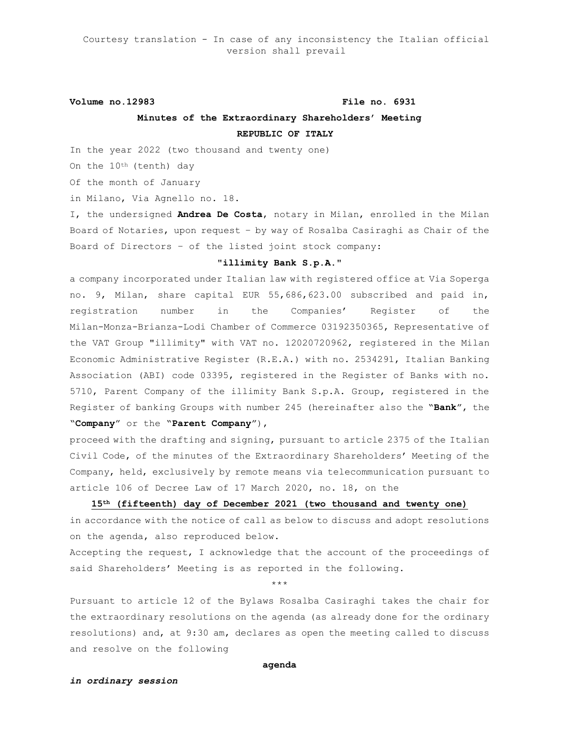**Volume no.12983 File no. 6931**

# **Minutes of the Extraordinary Shareholders' Meeting REPUBLIC OF ITALY**

In the year 2022 (two thousand and twenty one)

On the 10<sup>th</sup> (tenth) day

Of the month of January

in Milano, Via Agnello no. 18.

I, the undersigned **Andrea De Costa**, notary in Milan, enrolled in the Milan Board of Notaries, upon request – by way of Rosalba Casiraghi as Chair of the Board of Directors – of the listed joint stock company:

#### **"illimity Bank S.p.A."**

a company incorporated under Italian law with registered office at Via Soperga no. 9, Milan, share capital EUR 55,686,623.00 subscribed and paid in, registration number in the Companies' Register of the Milan-Monza-Brianza-Lodi Chamber of Commerce 03192350365, Representative of the VAT Group "illimity" with VAT no. 12020720962, registered in the Milan Economic Administrative Register (R.E.A.) with no. 2534291, Italian Banking Association (ABI) code 03395, registered in the Register of Banks with no. 5710, Parent Company of the illimity Bank S.p.A. Group, registered in the Register of banking Groups with number 245 (hereinafter also the "**Bank**", the "**Company**" or the "**Parent Company**"),

proceed with the drafting and signing, pursuant to article 2375 of the Italian Civil Code, of the minutes of the Extraordinary Shareholders' Meeting of the Company, held, exclusively by remote means via telecommunication pursuant to article 106 of Decree Law of 17 March 2020, no. 18, on the

#### **15th (fifteenth) day of December 2021 (two thousand and twenty one)**

in accordance with the notice of call as below to discuss and adopt resolutions on the agenda, also reproduced below.

Accepting the request, I acknowledge that the account of the proceedings of said Shareholders' Meeting is as reported in the following.

\*\*\*

Pursuant to article 12 of the Bylaws Rosalba Casiraghi takes the chair for the extraordinary resolutions on the agenda (as already done for the ordinary resolutions) and, at 9:30 am, declares as open the meeting called to discuss and resolve on the following

#### **agenda**

*in ordinary session*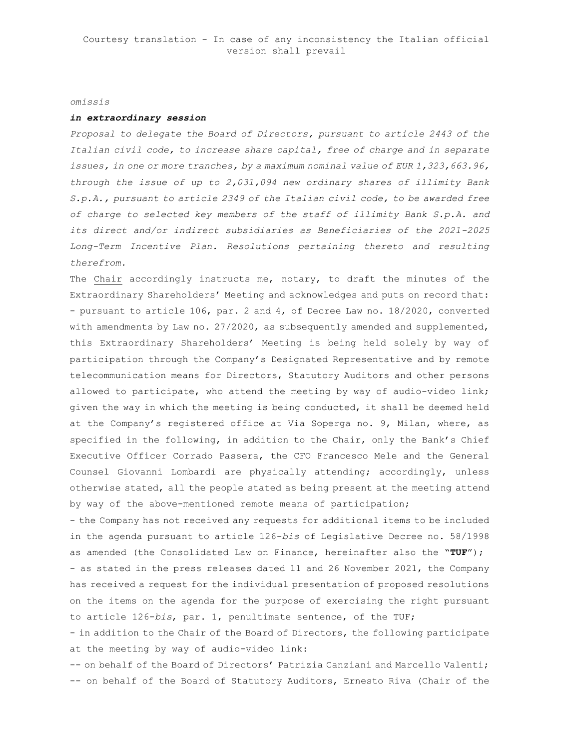#### *omissis*

#### *in extraordinary session*

*Proposal to delegate the Board of Directors, pursuant to article 2443 of the Italian civil code, to increase share capital, free of charge and in separate issues, in one or more tranches, by a maximum nominal value of EUR 1,323,663.96, through the issue of up to 2,031,094 new ordinary shares of illimity Bank S.p.A., pursuant to article 2349 of the Italian civil code, to be awarded free of charge to selected key members of the staff of illimity Bank S.p.A. and its direct and/or indirect subsidiaries as Beneficiaries of the 2021-2025 Long-Term Incentive Plan. Resolutions pertaining thereto and resulting therefrom.*

The Chair accordingly instructs me, notary, to draft the minutes of the Extraordinary Shareholders' Meeting and acknowledges and puts on record that: - pursuant to article 106, par. 2 and 4, of Decree Law no. 18/2020, converted with amendments by Law no. 27/2020, as subsequently amended and supplemented, this Extraordinary Shareholders' Meeting is being held solely by way of participation through the Company's Designated Representative and by remote telecommunication means for Directors, Statutory Auditors and other persons allowed to participate, who attend the meeting by way of audio-video link; given the way in which the meeting is being conducted, it shall be deemed held at the Company's registered office at Via Soperga no. 9, Milan, where, as specified in the following, in addition to the Chair, only the Bank's Chief Executive Officer Corrado Passera, the CFO Francesco Mele and the General Counsel Giovanni Lombardi are physically attending; accordingly, unless otherwise stated, all the people stated as being present at the meeting attend by way of the above-mentioned remote means of participation;

- the Company has not received any requests for additional items to be included in the agenda pursuant to article 126-*bis* of Legislative Decree no. 58/1998 as amended (the Consolidated Law on Finance, hereinafter also the "**TUF**"); - as stated in the press releases dated 11 and 26 November 2021, the Company has received a request for the individual presentation of proposed resolutions on the items on the agenda for the purpose of exercising the right pursuant to article 126-*bis*, par. 1, penultimate sentence, of the TUF;

- in addition to the Chair of the Board of Directors, the following participate at the meeting by way of audio-video link:

-- on behalf of the Board of Directors' Patrizia Canziani and Marcello Valenti; -- on behalf of the Board of Statutory Auditors, Ernesto Riva (Chair of the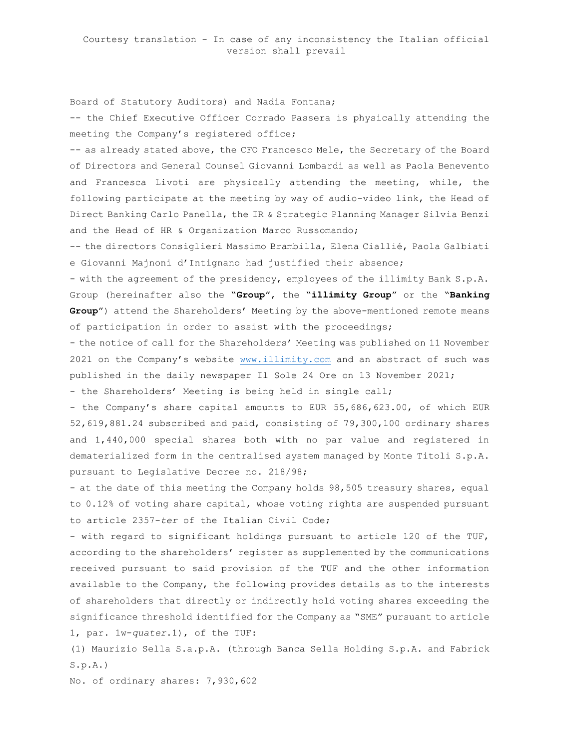Board of Statutory Auditors) and Nadia Fontana;

-- the Chief Executive Officer Corrado Passera is physically attending the meeting the Company's registered office;

-- as already stated above, the CFO Francesco Mele, the Secretary of the Board of Directors and General Counsel Giovanni Lombardi as well as Paola Benevento and Francesca Livoti are physically attending the meeting, while, the following participate at the meeting by way of audio-video link, the Head of Direct Banking Carlo Panella, the IR & Strategic Planning Manager Silvia Benzi and the Head of HR & Organization Marco Russomando;

-- the directors Consiglieri Massimo Brambilla, Elena Ciallié, Paola Galbiati e Giovanni Majnoni d'Intignano had justified their absence;

- with the agreement of the presidency, employees of the illimity Bank S.p.A. Group (hereinafter also the "**Group**", the "**illimity Group**" or the "**Banking Group**") attend the Shareholders' Meeting by the above-mentioned remote means of participation in order to assist with the proceedings;

- the notice of call for the Shareholders' Meeting was published on 11 November 2021 on the Company's website [www.illimity.com](http://www.illimity.com/) and an abstract of such was published in the daily newspaper Il Sole 24 Ore on 13 November 2021;

- the Shareholders' Meeting is being held in single call;

- the Company's share capital amounts to EUR 55,686,623.00, of which EUR 52,619,881.24 subscribed and paid, consisting of 79,300,100 ordinary shares and 1,440,000 special shares both with no par value and registered in dematerialized form in the centralised system managed by Monte Titoli S.p.A. pursuant to Legislative Decree no. 218/98;

- at the date of this meeting the Company holds 98,505 treasury shares, equal to 0.12% of voting share capital, whose voting rights are suspended pursuant to article 2357-*ter* of the Italian Civil Code;

- with regard to significant holdings pursuant to article 120 of the TUF, according to the shareholders' register as supplemented by the communications received pursuant to said provision of the TUF and the other information available to the Company, the following provides details as to the interests of shareholders that directly or indirectly hold voting shares exceeding the significance threshold identified for the Company as "SME" pursuant to article 1, par. 1w-*quater*.1), of the TUF:

(1) Maurizio Sella S.a.p.A. (through Banca Sella Holding S.p.A. and Fabrick  $S.p.A.$ )

No. of ordinary shares: 7,930,602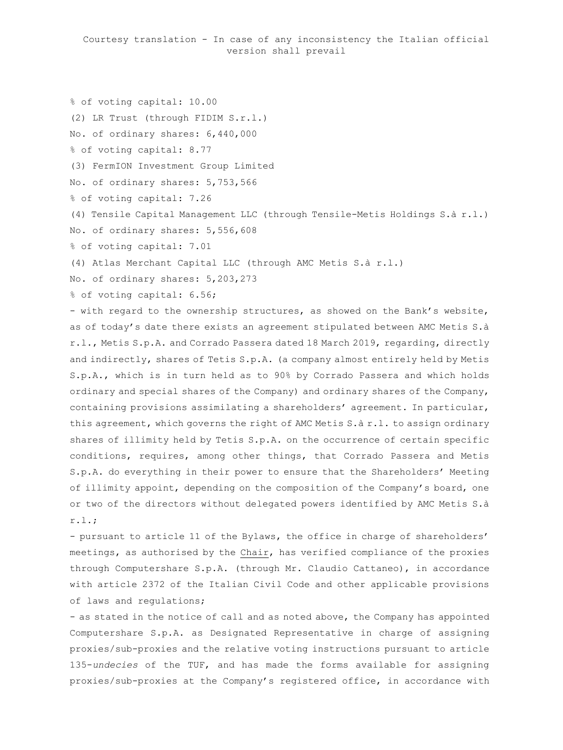% of voting capital: 10.00 (2) LR Trust (through FIDIM S.r.l.) No. of ordinary shares: 6,440,000 % of voting capital: 8.77 (3) FermION Investment Group Limited No. of ordinary shares: 5,753,566 % of voting capital: 7.26 (4) Tensile Capital Management LLC (through Tensile-Metis Holdings S.à r.l.) No. of ordinary shares: 5,556,608 % of voting capital: 7.01 (4) Atlas Merchant Capital LLC (through AMC Metis S.à r.l.) No. of ordinary shares: 5,203,273 % of voting capital: 6.56; - with regard to the ownership structures, as showed on the Bank's website,

as of today's date there exists an agreement stipulated between AMC Metis S.à r.l., Metis S.p.A. and Corrado Passera dated 18 March 2019, regarding, directly and indirectly, shares of Tetis S.p.A. (a company almost entirely held by Metis S.p.A., which is in turn held as to 90% by Corrado Passera and which holds ordinary and special shares of the Company) and ordinary shares of the Company, containing provisions assimilating a shareholders' agreement. In particular, this agreement, which governs the right of AMC Metis S.à r.l. to assign ordinary shares of illimity held by Tetis S.p.A. on the occurrence of certain specific conditions, requires, among other things, that Corrado Passera and Metis S.p.A. do everything in their power to ensure that the Shareholders' Meeting of illimity appoint, depending on the composition of the Company's board, one or two of the directors without delegated powers identified by AMC Metis S.à r.l.;

- pursuant to article 11 of the Bylaws, the office in charge of shareholders' meetings, as authorised by the Chair, has verified compliance of the proxies through Computershare S.p.A. (through Mr. Claudio Cattaneo), in accordance with article 2372 of the Italian Civil Code and other applicable provisions of laws and regulations;

- as stated in the notice of call and as noted above, the Company has appointed Computershare S.p.A. as Designated Representative in charge of assigning proxies/sub-proxies and the relative voting instructions pursuant to article 135-*undecies* of the TUF, and has made the forms available for assigning proxies/sub-proxies at the Company's registered office, in accordance with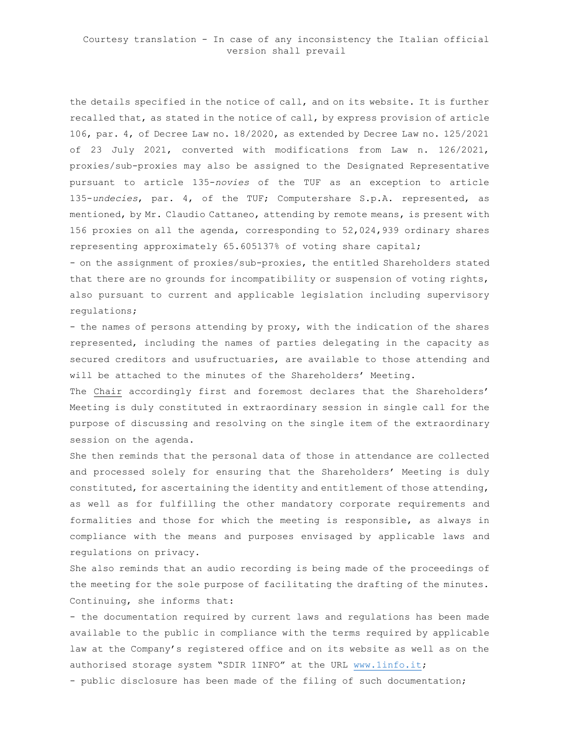the details specified in the notice of call, and on its website. It is further recalled that, as stated in the notice of call, by express provision of article 106, par. 4, of Decree Law no. 18/2020, as extended by Decree Law no. 125/2021 of 23 July 2021, converted with modifications from Law n. 126/2021, proxies/sub-proxies may also be assigned to the Designated Representative pursuant to article 135-*novies* of the TUF as an exception to article 135-*undecies*, par. 4, of the TUF; Computershare S.p.A. represented, as mentioned, by Mr. Claudio Cattaneo, attending by remote means, is present with 156 proxies on all the agenda, corresponding to 52,024,939 ordinary shares representing approximately 65.605137% of voting share capital;

- on the assignment of proxies/sub-proxies, the entitled Shareholders stated that there are no grounds for incompatibility or suspension of voting rights, also pursuant to current and applicable legislation including supervisory regulations;

- the names of persons attending by proxy, with the indication of the shares represented, including the names of parties delegating in the capacity as secured creditors and usufructuaries, are available to those attending and will be attached to the minutes of the Shareholders' Meeting.

The Chair accordingly first and foremost declares that the Shareholders' Meeting is duly constituted in extraordinary session in single call for the purpose of discussing and resolving on the single item of the extraordinary session on the agenda.

She then reminds that the personal data of those in attendance are collected and processed solely for ensuring that the Shareholders' Meeting is duly constituted, for ascertaining the identity and entitlement of those attending, as well as for fulfilling the other mandatory corporate requirements and formalities and those for which the meeting is responsible, as always in compliance with the means and purposes envisaged by applicable laws and regulations on privacy.

She also reminds that an audio recording is being made of the proceedings of the meeting for the sole purpose of facilitating the drafting of the minutes. Continuing, she informs that:

- the documentation required by current laws and regulations has been made available to the public in compliance with the terms required by applicable law at the Company's registered office and on its website as well as on the authorised storage system "SDIR 1INFO" at the URL [www.1info.it;](http://www.1info.it/)

- public disclosure has been made of the filing of such documentation;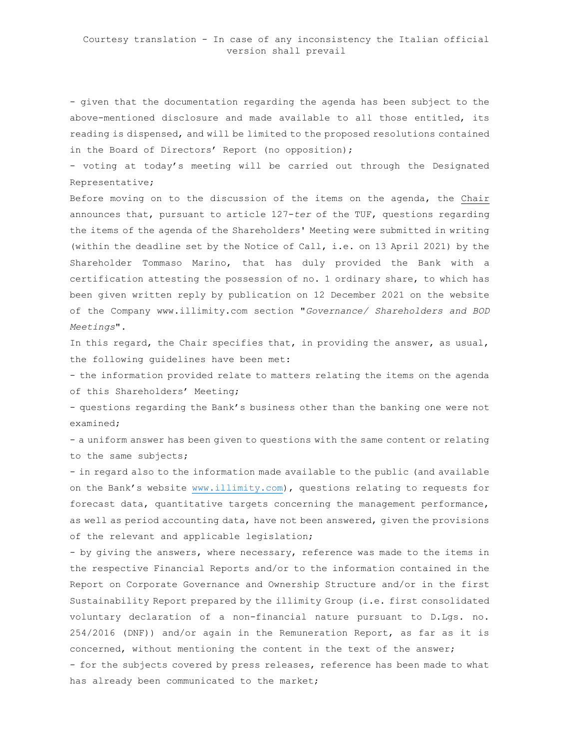- given that the documentation regarding the agenda has been subject to the above-mentioned disclosure and made available to all those entitled, its reading is dispensed, and will be limited to the proposed resolutions contained in the Board of Directors' Report (no opposition);

- voting at today's meeting will be carried out through the Designated Representative;

Before moving on to the discussion of the items on the agenda, the Chair announces that, pursuant to article 127-*ter* of the TUF, questions regarding the items of the agenda of the Shareholders' Meeting were submitted in writing (within the deadline set by the Notice of Call, i.e. on 13 April 2021) by the Shareholder Tommaso Marino, that has duly provided the Bank with a certification attesting the possession of no. 1 ordinary share, to which has been given written reply by publication on 12 December 2021 on the website of the Company www.illimity.com section "*Governance/ Shareholders and BOD Meetings*".

In this regard, the Chair specifies that, in providing the answer, as usual, the following guidelines have been met:

- the information provided relate to matters relating the items on the agenda of this Shareholders' Meeting;

- questions regarding the Bank's business other than the banking one were not examined;

- a uniform answer has been given to questions with the same content or relating to the same subjects;

- in regard also to the information made available to the public (and available on the Bank's website [www.illimity.com\)](http://www.illimity.com/), questions relating to requests for forecast data, quantitative targets concerning the management performance, as well as period accounting data, have not been answered, given the provisions of the relevant and applicable legislation;

- by giving the answers, where necessary, reference was made to the items in the respective Financial Reports and/or to the information contained in the Report on Corporate Governance and Ownership Structure and/or in the first Sustainability Report prepared by the illimity Group (i.e. first consolidated voluntary declaration of a non-financial nature pursuant to D.Lgs. no. 254/2016 (DNF)) and/or again in the Remuneration Report, as far as it is concerned, without mentioning the content in the text of the answer; - for the subjects covered by press releases, reference has been made to what has already been communicated to the market;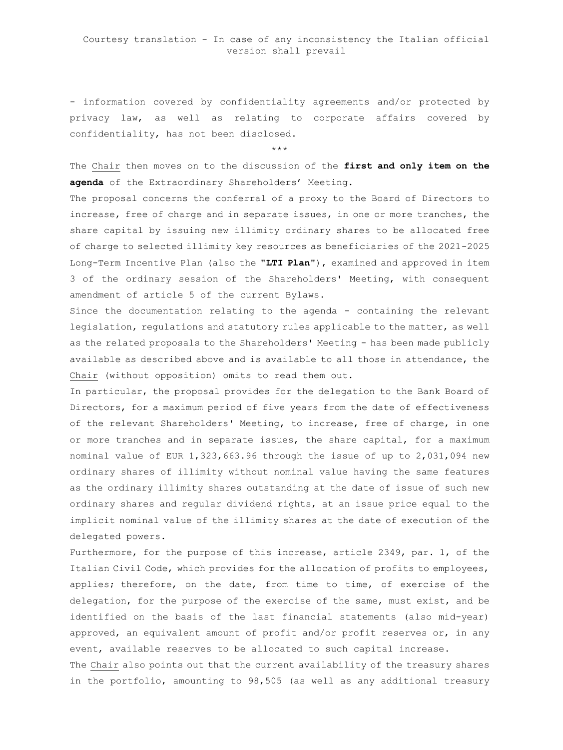- information covered by confidentiality agreements and/or protected by privacy law, as well as relating to corporate affairs covered by confidentiality, has not been disclosed.

\*\*\*

The Chair then moves on to the discussion of the **first and only item on the agenda** of the Extraordinary Shareholders' Meeting.

The proposal concerns the conferral of a proxy to the Board of Directors to increase, free of charge and in separate issues, in one or more tranches, the share capital by issuing new illimity ordinary shares to be allocated free of charge to selected illimity key resources as beneficiaries of the 2021-2025 Long-Term Incentive Plan (also the "**LTI Plan**"), examined and approved in item 3 of the ordinary session of the Shareholders' Meeting, with consequent amendment of article 5 of the current Bylaws.

Since the documentation relating to the agenda - containing the relevant legislation, regulations and statutory rules applicable to the matter, as well as the related proposals to the Shareholders' Meeting - has been made publicly available as described above and is available to all those in attendance, the Chair (without opposition) omits to read them out.

In particular, the proposal provides for the delegation to the Bank Board of Directors, for a maximum period of five years from the date of effectiveness of the relevant Shareholders' Meeting, to increase, free of charge, in one or more tranches and in separate issues, the share capital, for a maximum nominal value of EUR 1,323,663.96 through the issue of up to 2,031,094 new ordinary shares of illimity without nominal value having the same features as the ordinary illimity shares outstanding at the date of issue of such new ordinary shares and regular dividend rights, at an issue price equal to the implicit nominal value of the illimity shares at the date of execution of the delegated powers.

Furthermore, for the purpose of this increase, article 2349, par. 1, of the Italian Civil Code, which provides for the allocation of profits to employees, applies; therefore, on the date, from time to time, of exercise of the delegation, for the purpose of the exercise of the same, must exist, and be identified on the basis of the last financial statements (also mid-year) approved, an equivalent amount of profit and/or profit reserves or, in any event, available reserves to be allocated to such capital increase.

The Chair also points out that the current availability of the treasury shares in the portfolio, amounting to 98,505 (as well as any additional treasury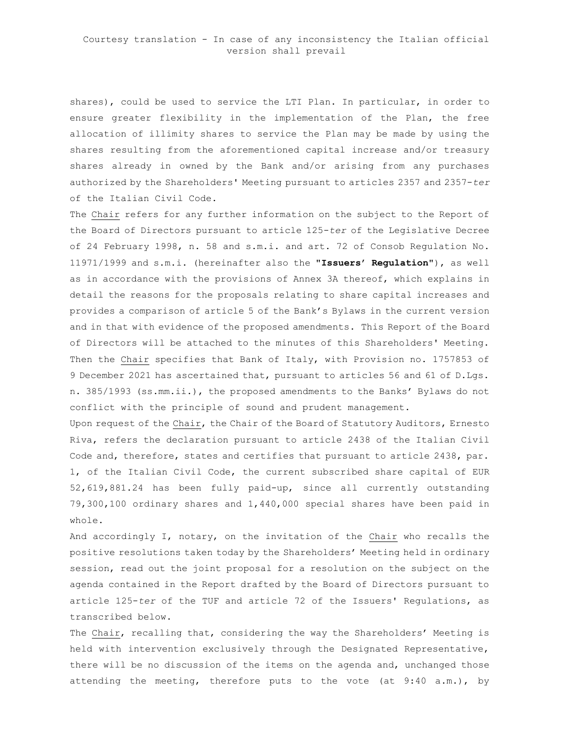shares), could be used to service the LTI Plan. In particular, in order to ensure greater flexibility in the implementation of the Plan, the free allocation of illimity shares to service the Plan may be made by using the shares resulting from the aforementioned capital increase and/or treasury shares already in owned by the Bank and/or arising from any purchases authorized by the Shareholders' Meeting pursuant to articles 2357 and 2357-*ter* of the Italian Civil Code.

The Chair refers for any further information on the subject to the Report of the Board of Directors pursuant to article 125-*ter* of the Legislative Decree of 24 February 1998, n. 58 and s.m.i. and art. 72 of Consob Regulation No. 11971/1999 and s.m.i. (hereinafter also the "**Issuers' Regulation**"), as well as in accordance with the provisions of Annex 3A thereof, which explains in detail the reasons for the proposals relating to share capital increases and provides a comparison of article 5 of the Bank's Bylaws in the current version and in that with evidence of the proposed amendments. This Report of the Board of Directors will be attached to the minutes of this Shareholders' Meeting. Then the Chair specifies that Bank of Italy, with Provision no. 1757853 of 9 December 2021 has ascertained that, pursuant to articles 56 and 61 of D.Lgs. n. 385/1993 (ss.mm.ii.), the proposed amendments to the Banks' Bylaws do not conflict with the principle of sound and prudent management.

Upon request of the Chair, the Chair of the Board of Statutory Auditors, Ernesto Riva, refers the declaration pursuant to article 2438 of the Italian Civil Code and, therefore, states and certifies that pursuant to article 2438, par. 1, of the Italian Civil Code, the current subscribed share capital of EUR 52,619,881.24 has been fully paid-up, since all currently outstanding 79,300,100 ordinary shares and 1,440,000 special shares have been paid in whole.

And accordingly I, notary, on the invitation of the Chair who recalls the positive resolutions taken today by the Shareholders' Meeting held in ordinary session, read out the joint proposal for a resolution on the subject on the agenda contained in the Report drafted by the Board of Directors pursuant to article 125-*ter* of the TUF and article 72 of the Issuers' Regulations, as transcribed below.

The Chair, recalling that, considering the way the Shareholders' Meeting is held with intervention exclusively through the Designated Representative, there will be no discussion of the items on the agenda and, unchanged those attending the meeting, therefore puts to the vote (at 9:40 a.m.), by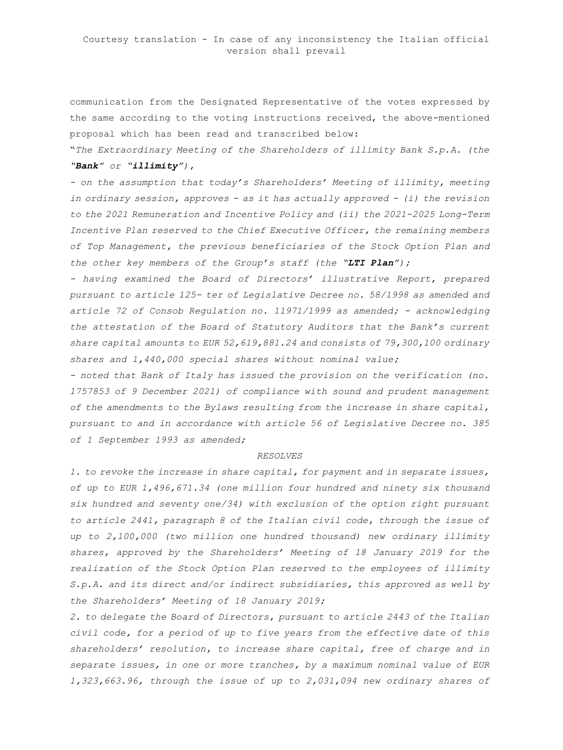communication from the Designated Representative of the votes expressed by the same according to the voting instructions received, the above-mentioned proposal which has been read and transcribed below:

"*The Extraordinary Meeting of the Shareholders of illimity Bank S.p.A. (the "Bank" or "illimity"),* 

*- on the assumption that today's Shareholders' Meeting of illimity, meeting in ordinary session, approves - as it has actually approved - (i) the revision to the 2021 Remuneration and Incentive Policy and (ii) the 2021-2025 Long-Term Incentive Plan reserved to the Chief Executive Officer, the remaining members of Top Management, the previous beneficiaries of the Stock Option Plan and the other key members of the Group's staff (the "LTI Plan");* 

*- having examined the Board of Directors' illustrative Report, prepared pursuant to article 125- ter of Legislative Decree no. 58/1998 as amended and article 72 of Consob Regulation no. 11971/1999 as amended; - acknowledging the attestation of the Board of Statutory Auditors that the Bank's current share capital amounts to EUR 52,619,881.24 and consists of 79,300,100 ordinary shares and 1,440,000 special shares without nominal value;* 

*- noted that Bank of Italy has issued the provision on the verification (no. 1757853 of 9 December 2021) of compliance with sound and prudent management of the amendments to the Bylaws resulting from the increase in share capital, pursuant to and in accordance with article 56 of Legislative Decree no. 385 of 1 September 1993 as amended;* 

#### *RESOLVES*

*1. to revoke the increase in share capital, for payment and in separate issues, of up to EUR 1,496,671.34 (one million four hundred and ninety six thousand six hundred and seventy one/34) with exclusion of the option right pursuant to article 2441, paragraph 8 of the Italian civil code, through the issue of up to 2,100,000 (two million one hundred thousand) new ordinary illimity shares, approved by the Shareholders' Meeting of 18 January 2019 for the realization of the Stock Option Plan reserved to the employees of illimity S.p.A. and its direct and/or indirect subsidiaries, this approved as well by the Shareholders' Meeting of 18 January 2019;*

*2. to delegate the Board of Directors, pursuant to article 2443 of the Italian civil code, for a period of up to five years from the effective date of this shareholders' resolution, to increase share capital, free of charge and in separate issues, in one or more tranches, by a maximum nominal value of EUR 1,323,663.96, through the issue of up to 2,031,094 new ordinary shares of*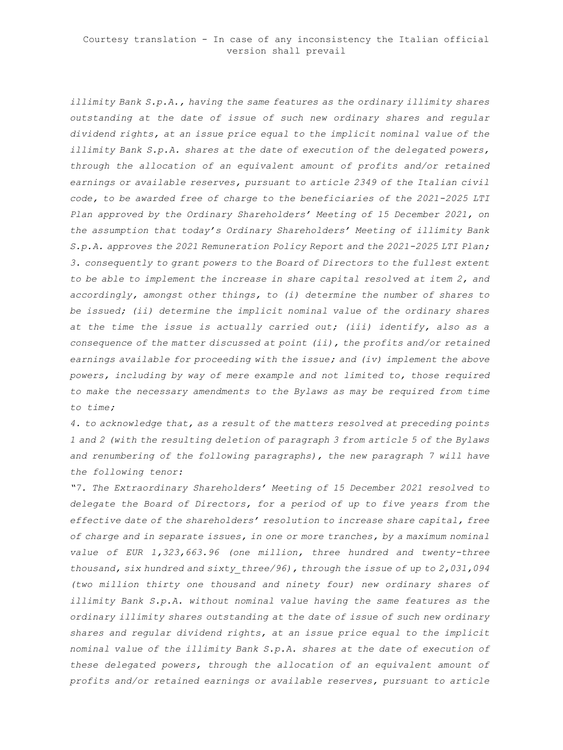*illimity Bank S.p.A., having the same features as the ordinary illimity shares outstanding at the date of issue of such new ordinary shares and regular dividend rights, at an issue price equal to the implicit nominal value of the illimity Bank S.p.A. shares at the date of execution of the delegated powers, through the allocation of an equivalent amount of profits and/or retained earnings or available reserves, pursuant to article 2349 of the Italian civil code, to be awarded free of charge to the beneficiaries of the 2021-2025 LTI Plan approved by the Ordinary Shareholders' Meeting of 15 December 2021, on the assumption that today's Ordinary Shareholders' Meeting of illimity Bank S.p.A. approves the 2021 Remuneration Policy Report and the 2021-2025 LTI Plan; 3. consequently to grant powers to the Board of Directors to the fullest extent to be able to implement the increase in share capital resolved at item 2, and accordingly, amongst other things, to (i) determine the number of shares to be issued; (ii) determine the implicit nominal value of the ordinary shares at the time the issue is actually carried out; (iii) identify, also as a consequence of the matter discussed at point (ii), the profits and/or retained earnings available for proceeding with the issue; and (iv) implement the above powers, including by way of mere example and not limited to, those required to make the necessary amendments to the Bylaws as may be required from time to time;* 

*4. to acknowledge that, as a result of the matters resolved at preceding points 1 and 2 (with the resulting deletion of paragraph 3 from article 5 of the Bylaws and renumbering of the following paragraphs), the new paragraph 7 will have the following tenor:*

*"7. The Extraordinary Shareholders' Meeting of 15 December 2021 resolved to delegate the Board of Directors, for a period of up to five years from the effective date of the shareholders' resolution to increase share capital, free of charge and in separate issues, in one or more tranches, by a maximum nominal value of EUR 1,323,663.96 (one million, three hundred and twenty-three thousand, six hundred and sixty\_three/96), through the issue of up to 2,031,094 (two million thirty one thousand and ninety four) new ordinary shares of illimity Bank S.p.A. without nominal value having the same features as the ordinary illimity shares outstanding at the date of issue of such new ordinary shares and regular dividend rights, at an issue price equal to the implicit nominal value of the illimity Bank S.p.A. shares at the date of execution of these delegated powers, through the allocation of an equivalent amount of profits and/or retained earnings or available reserves, pursuant to article*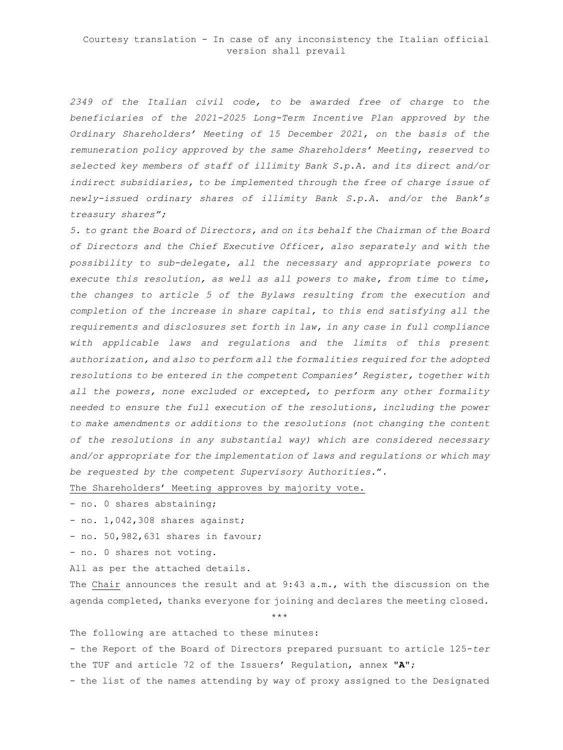*2349 of the Italian civil code, to be awarded free of charge to the beneficiaries of the 2021-2025 Long-Term Incentive Plan approved by the Ordinary Shareholders' Meeting of 15 December 2021, on the basis of the remuneration policy approved by the same Shareholders' Meeting, reserved to selected key members of staff of illimity Bank S.p.A. and its direct and/or indirect subsidiaries, to be implemented through the free of charge issue of newly-issued ordinary shares of illimity Bank S.p.A. and/or the Bank's treasury shares";*

*5. to grant the Board of Directors, and on its behalf the Chairman of the Board of Directors and the Chief Executive Officer, also separately and with the possibility to sub-delegate, all the necessary and appropriate powers to execute this resolution, as well as all powers to make, from time to time, the changes to article 5 of the Bylaws resulting from the execution and completion of the increase in share capital, to this end satisfying all the requirements and disclosures set forth in law, in any case in full compliance with applicable laws and regulations and the limits of this present authorization, and also to perform all the formalities required for the adopted resolutions to be entered in the competent Companies' Register, together with all the powers, none excluded or excepted, to perform any other formality needed to ensure the full execution of the resolutions, including the power to make amendments or additions to the resolutions (not changing the content of the resolutions in any substantial way) which are considered necessary and/or appropriate for the implementation of laws and regulations or which may be requested by the competent Supervisory Authorities.*".

The Shareholders' Meeting approves by majority vote.

- no. 0 shares abstaining;
- no. 1,042,308 shares against;
- no. 50,982,631 shares in favour;
- no. 0 shares not voting.
- All as per the attached details.

The Chair announces the result and at 9:43 a.m., with the discussion on the agenda completed, thanks everyone for joining and declares the meeting closed.

\*\*\*

The following are attached to these minutes:

- the Report of the Board of Directors prepared pursuant to article 125-*ter* the TUF and article 72 of the Issuers' Regulation, annex **"A"**;

- the list of the names attending by way of proxy assigned to the Designated